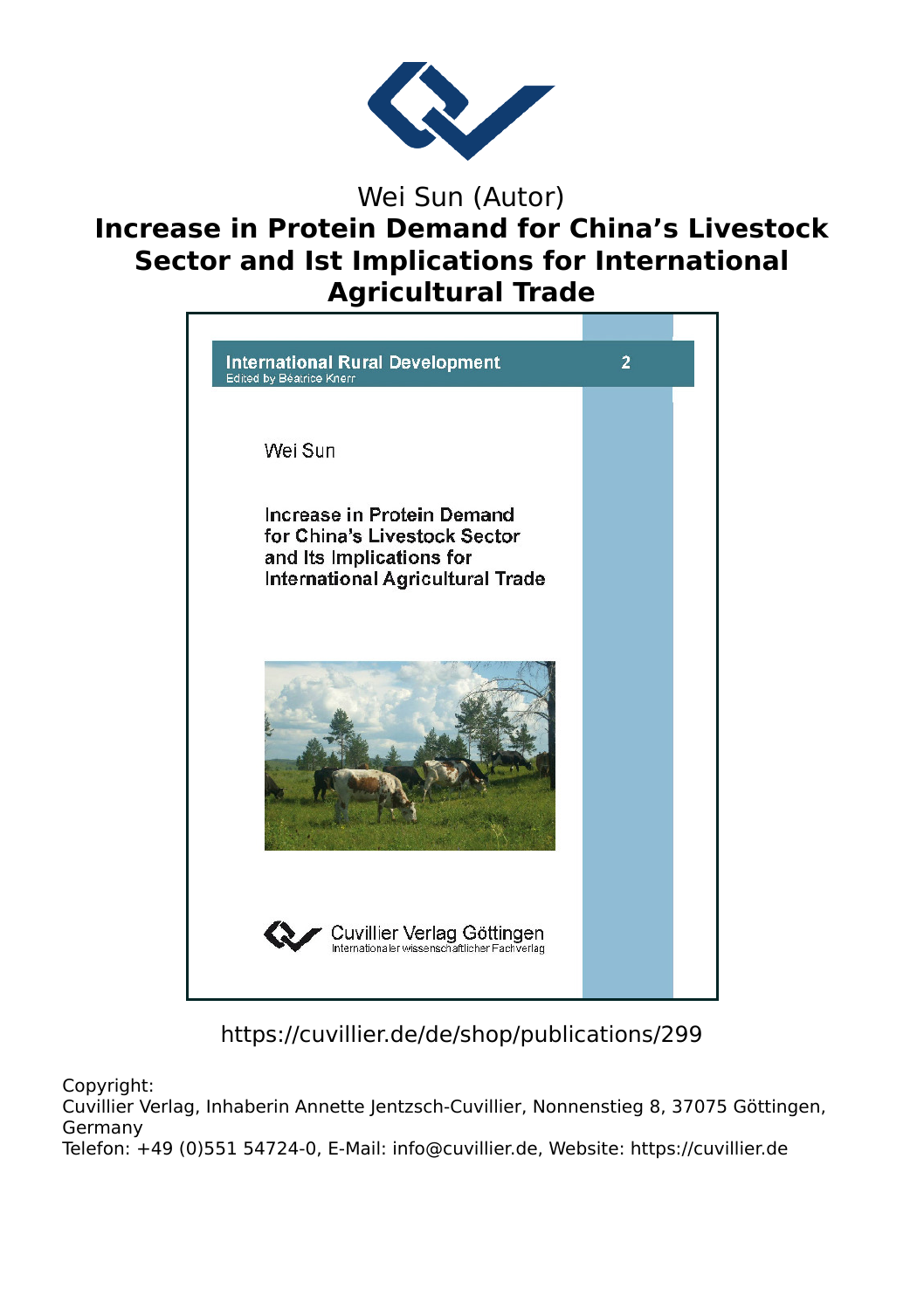

## Wei Sun (Autor) **Increase in Protein Demand for China's Livestock Sector and Ist Implications for International Agricultural Trade**



https://cuvillier.de/de/shop/publications/299

Copyright:

Cuvillier Verlag, Inhaberin Annette Jentzsch-Cuvillier, Nonnenstieg 8, 37075 Göttingen, Germany Telefon: +49 (0)551 54724-0, E-Mail: info@cuvillier.de, Website: https://cuvillier.de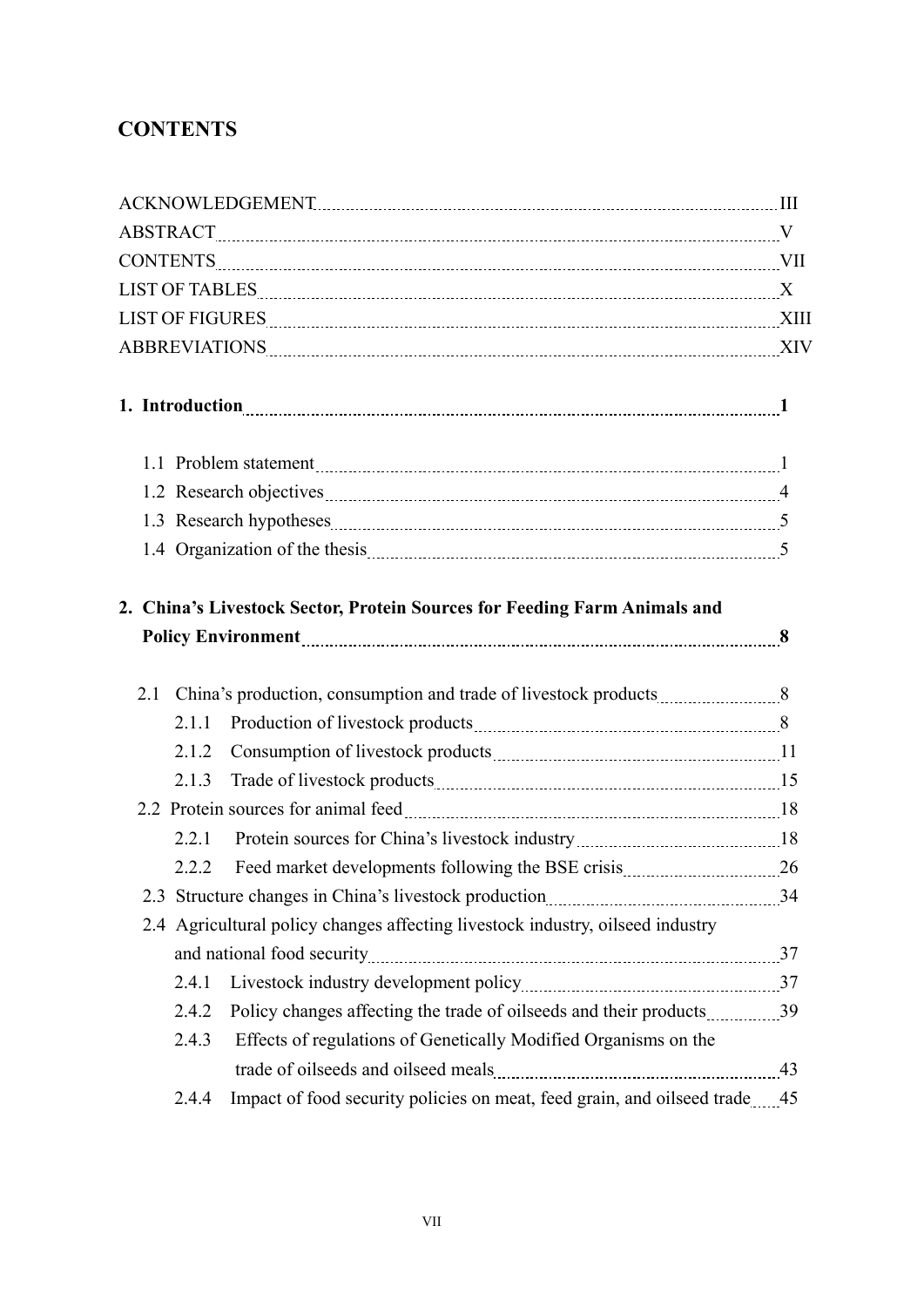## **CONTENTS**

|  |  |       | 2. China's Livestock Sector, Protein Sources for Feeding Farm Animals and      |  |  |
|--|--|-------|--------------------------------------------------------------------------------|--|--|
|  |  |       |                                                                                |  |  |
|  |  |       |                                                                                |  |  |
|  |  | 2.1.1 |                                                                                |  |  |
|  |  | 2.1.2 |                                                                                |  |  |
|  |  | 2.1.3 |                                                                                |  |  |
|  |  |       |                                                                                |  |  |
|  |  | 2.2.1 |                                                                                |  |  |
|  |  | 2.2.2 |                                                                                |  |  |
|  |  |       |                                                                                |  |  |
|  |  |       | 2.4 Agricultural policy changes affecting livestock industry, oilseed industry |  |  |
|  |  |       |                                                                                |  |  |
|  |  | 2.4.1 |                                                                                |  |  |
|  |  | 2.4.2 |                                                                                |  |  |
|  |  | 2.4.3 | Effects of regulations of Genetically Modified Organisms on the                |  |  |
|  |  |       |                                                                                |  |  |
|  |  | 2.4.4 | Impact of food security policies on meat, feed grain, and oilseed trade 45     |  |  |
|  |  |       |                                                                                |  |  |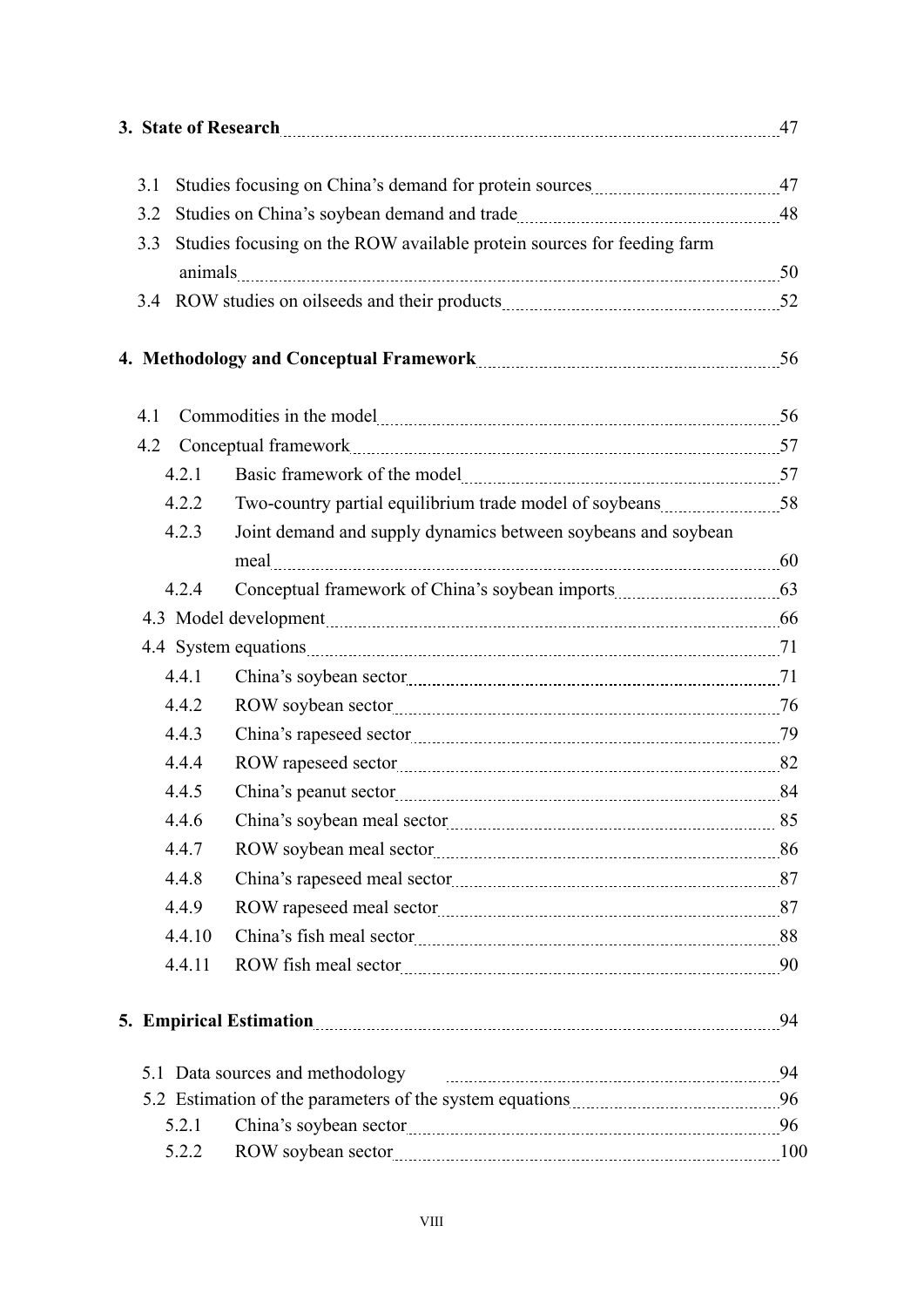| 3. State of Research 27                                                                                        |                                                                        |                                                               |  |  |  |  |  |
|----------------------------------------------------------------------------------------------------------------|------------------------------------------------------------------------|---------------------------------------------------------------|--|--|--|--|--|
| 3.1                                                                                                            |                                                                        |                                                               |  |  |  |  |  |
| 3.2                                                                                                            |                                                                        |                                                               |  |  |  |  |  |
| 3.3                                                                                                            | Studies focusing on the ROW available protein sources for feeding farm |                                                               |  |  |  |  |  |
|                                                                                                                |                                                                        |                                                               |  |  |  |  |  |
|                                                                                                                |                                                                        |                                                               |  |  |  |  |  |
|                                                                                                                |                                                                        |                                                               |  |  |  |  |  |
|                                                                                                                |                                                                        |                                                               |  |  |  |  |  |
| 4.1                                                                                                            |                                                                        |                                                               |  |  |  |  |  |
| 4.2                                                                                                            |                                                                        |                                                               |  |  |  |  |  |
|                                                                                                                | 4.2.1                                                                  |                                                               |  |  |  |  |  |
|                                                                                                                | 4.2.2                                                                  |                                                               |  |  |  |  |  |
|                                                                                                                | 4.2.3                                                                  | Joint demand and supply dynamics between soybeans and soybean |  |  |  |  |  |
|                                                                                                                |                                                                        |                                                               |  |  |  |  |  |
|                                                                                                                | 4.2.4                                                                  |                                                               |  |  |  |  |  |
|                                                                                                                |                                                                        |                                                               |  |  |  |  |  |
|                                                                                                                |                                                                        |                                                               |  |  |  |  |  |
|                                                                                                                | 4.4.1                                                                  |                                                               |  |  |  |  |  |
|                                                                                                                | 4.4.2                                                                  |                                                               |  |  |  |  |  |
|                                                                                                                | 4.4.3                                                                  |                                                               |  |  |  |  |  |
|                                                                                                                | 4.4.4                                                                  |                                                               |  |  |  |  |  |
|                                                                                                                | 4.4.5                                                                  |                                                               |  |  |  |  |  |
|                                                                                                                | 4.4.6                                                                  |                                                               |  |  |  |  |  |
|                                                                                                                | 4.4.7                                                                  |                                                               |  |  |  |  |  |
|                                                                                                                | 4.4.8                                                                  |                                                               |  |  |  |  |  |
|                                                                                                                | 4.4.9                                                                  |                                                               |  |  |  |  |  |
|                                                                                                                | 4.4.10                                                                 |                                                               |  |  |  |  |  |
|                                                                                                                | 4.4.11                                                                 |                                                               |  |  |  |  |  |
| 5. Empirical Estimation 24 and 24 and 24 and 24 and 24 and 24 and 25 and 25 and 25 and 25 and 25 and 25 and 25 |                                                                        |                                                               |  |  |  |  |  |
|                                                                                                                | 5.1 Data sources and methodology                                       |                                                               |  |  |  |  |  |
|                                                                                                                |                                                                        |                                                               |  |  |  |  |  |
|                                                                                                                | 5.2.1                                                                  |                                                               |  |  |  |  |  |
|                                                                                                                | 5.2.2                                                                  |                                                               |  |  |  |  |  |